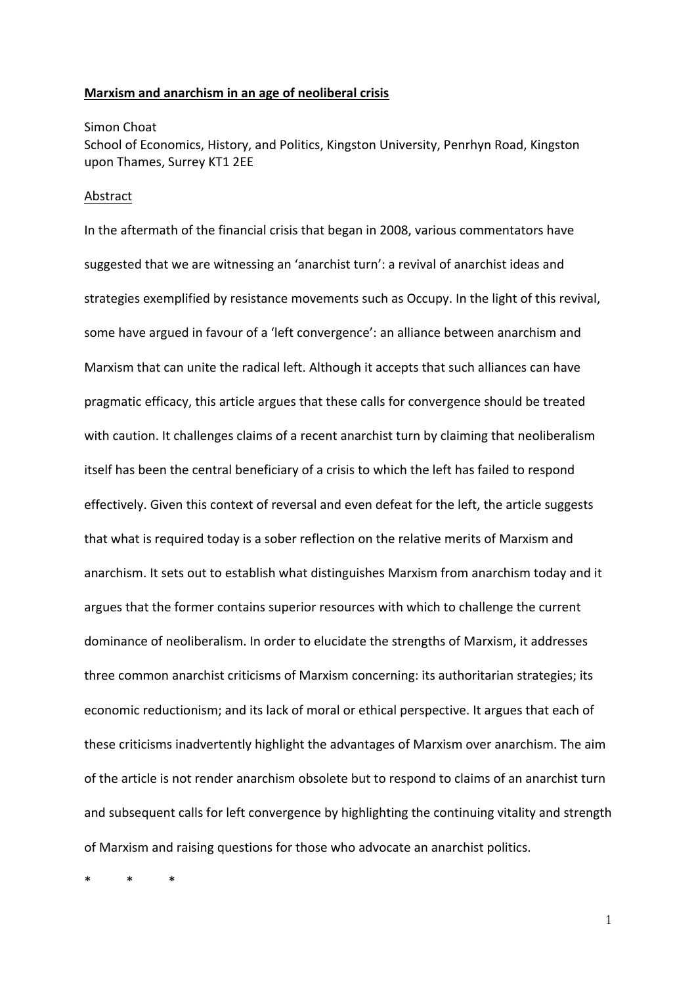## **Marxism and anarchism in an age of neoliberal crisis**

#### Simon Choat

School of Economics, History, and Politics, Kingston University, Penrhyn Road, Kingston upon Thames, Surrey KT1 2EE

## Abstract

In the aftermath of the financial crisis that began in 2008, various commentators have suggested that we are witnessing an 'anarchist turn': a revival of anarchist ideas and strategies exemplified by resistance movements such as Occupy. In the light of this revival, some have argued in favour of a 'left convergence': an alliance between anarchism and Marxism that can unite the radical left. Although it accepts that such alliances can have pragmatic efficacy, this article argues that these calls for convergence should be treated with caution. It challenges claims of a recent anarchist turn by claiming that neoliberalism itself has been the central beneficiary of a crisis to which the left has failed to respond effectively. Given this context of reversal and even defeat for the left, the article suggests that what is required today is a sober reflection on the relative merits of Marxism and anarchism. It sets out to establish what distinguishes Marxism from anarchism today and it argues that the former contains superior resources with which to challenge the current dominance of neoliberalism. In order to elucidate the strengths of Marxism, it addresses three common anarchist criticisms of Marxism concerning: its authoritarian strategies; its economic reductionism; and its lack of moral or ethical perspective. It argues that each of these criticisms inadvertently highlight the advantages of Marxism over anarchism. The aim of the article is not render anarchism obsolete but to respond to claims of an anarchist turn and subsequent calls for left convergence by highlighting the continuing vitality and strength of Marxism and raising questions for those who advocate an anarchist politics.

\* \* \*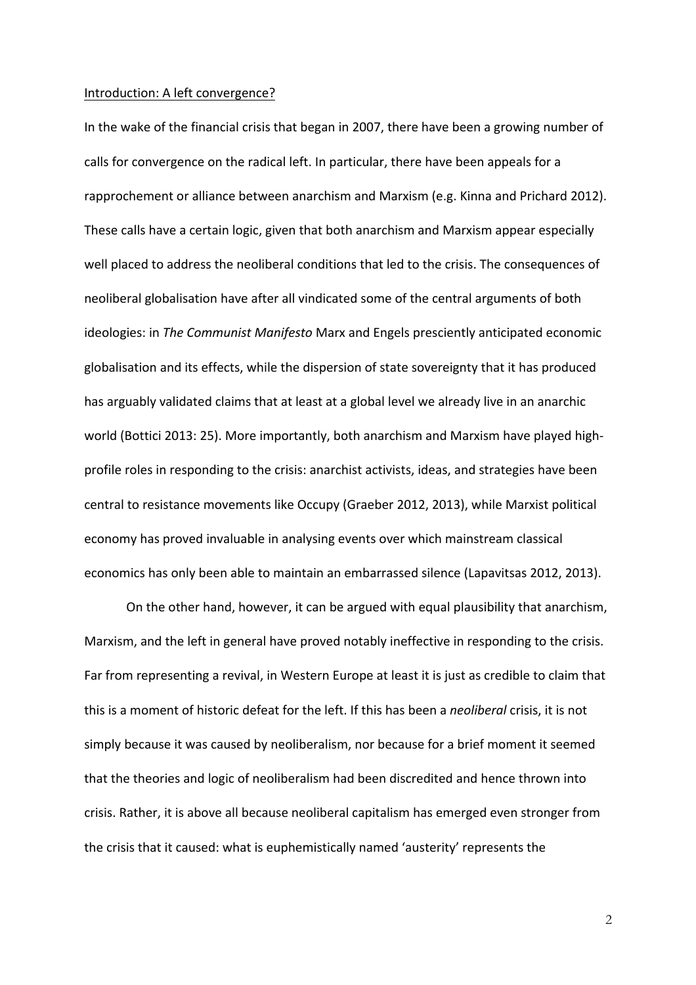#### Introduction: A left convergence?

In the wake of the financial crisis that began in 2007, there have been a growing number of calls for convergence on the radical left. In particular, there have been appeals for a rapprochement or alliance between anarchism and Marxism (e.g. Kinna and Prichard 2012). These calls have a certain logic, given that both anarchism and Marxism appear especially well placed to address the neoliberal conditions that led to the crisis. The consequences of neoliberal globalisation have after all vindicated some of the central arguments of both ideologies: in *The Communist Manifesto* Marx and Engels presciently anticipated economic globalisation and its effects, while the dispersion of state sovereignty that it has produced has arguably validated claims that at least at a global level we already live in an anarchic world (Bottici 2013: 25). More importantly, both anarchism and Marxism have played highprofile roles in responding to the crisis: anarchist activists, ideas, and strategies have been central to resistance movements like Occupy (Graeber 2012, 2013), while Marxist political economy has proved invaluable in analysing events over which mainstream classical economics has only been able to maintain an embarrassed silence (Lapavitsas 2012, 2013).

On the other hand, however, it can be argued with equal plausibility that anarchism, Marxism, and the left in general have proved notably ineffective in responding to the crisis. Far from representing a revival, in Western Europe at least it is just as credible to claim that this is a moment of historic defeat for the left. If this has been a *neoliberal* crisis, it is not simply because it was caused by neoliberalism, nor because for a brief moment it seemed that the theories and logic of neoliberalism had been discredited and hence thrown into crisis. Rather, it is above all because neoliberal capitalism has emerged even stronger from the crisis that it caused: what is euphemistically named 'austerity' represents the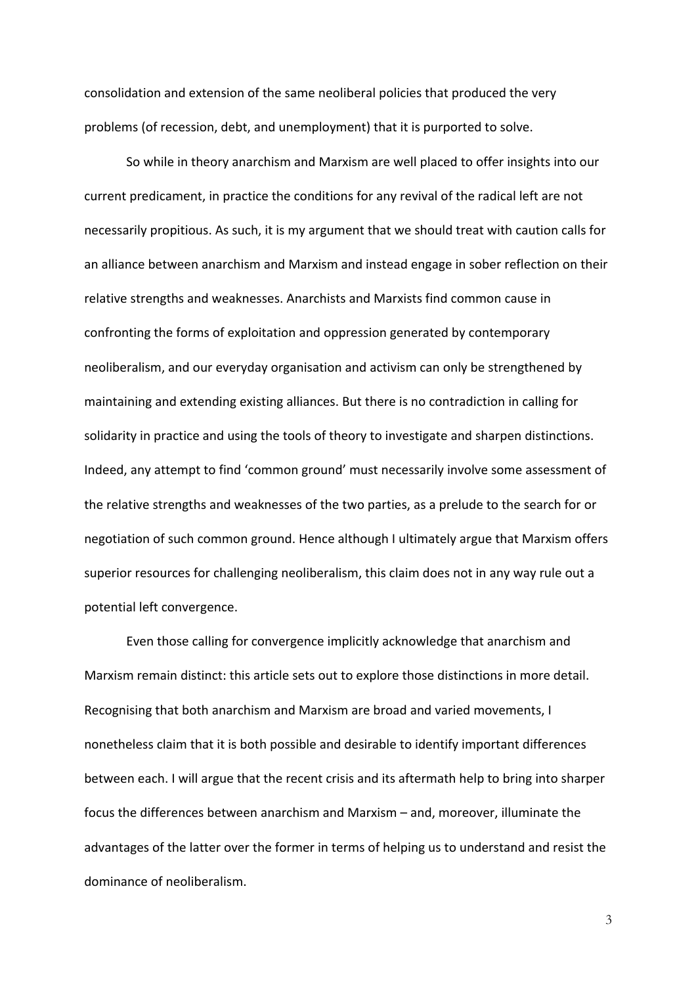consolidation and extension of the same neoliberal policies that produced the very problems (of recession, debt, and unemployment) that it is purported to solve.

So while in theory anarchism and Marxism are well placed to offer insights into our current predicament, in practice the conditions for any revival of the radical left are not necessarily propitious. As such, it is my argument that we should treat with caution calls for an alliance between anarchism and Marxism and instead engage in sober reflection on their relative strengths and weaknesses. Anarchists and Marxists find common cause in confronting the forms of exploitation and oppression generated by contemporary neoliberalism, and our everyday organisation and activism can only be strengthened by maintaining and extending existing alliances. But there is no contradiction in calling for solidarity in practice and using the tools of theory to investigate and sharpen distinctions. Indeed, any attempt to find 'common ground' must necessarily involve some assessment of the relative strengths and weaknesses of the two parties, as a prelude to the search for or negotiation of such common ground. Hence although I ultimately argue that Marxism offers superior resources for challenging neoliberalism, this claim does not in any way rule out a potential left convergence.

Even those calling for convergence implicitly acknowledge that anarchism and Marxism remain distinct: this article sets out to explore those distinctions in more detail. Recognising that both anarchism and Marxism are broad and varied movements, I nonetheless claim that it is both possible and desirable to identify important differences between each. I will argue that the recent crisis and its aftermath help to bring into sharper focus the differences between anarchism and Marxism – and, moreover, illuminate the advantages of the latter over the former in terms of helping us to understand and resist the dominance of neoliberalism.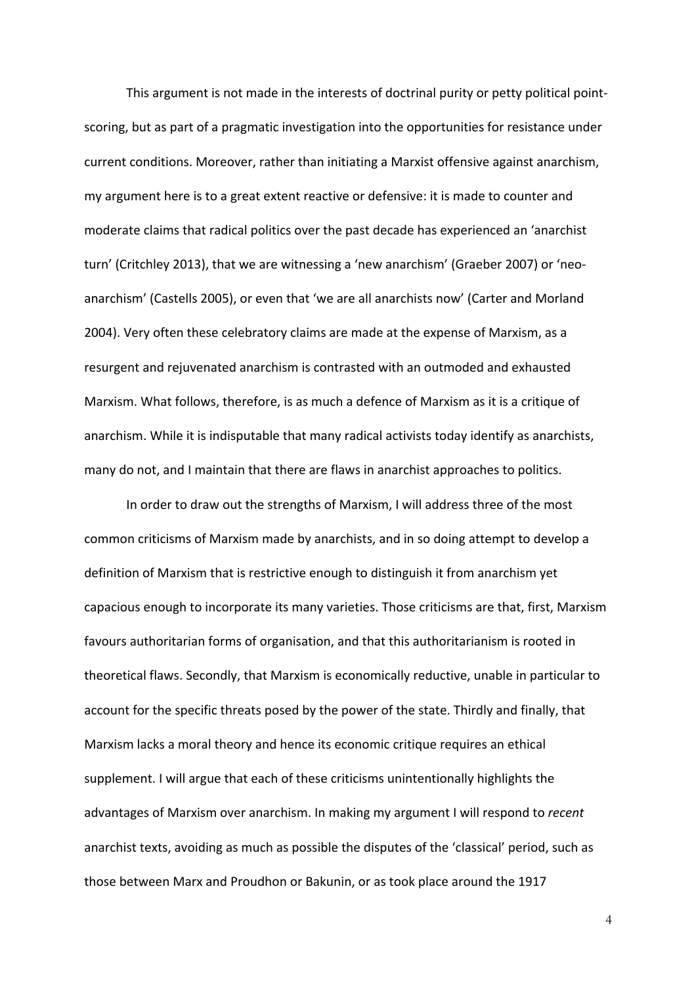This argument is not made in the interests of doctrinal purity or petty political pointscoring, but as part of a pragmatic investigation into the opportunities for resistance under current conditions. Moreover, rather than initiating a Marxist offensive against anarchism, my argument here is to a great extent reactive or defensive: it is made to counter and moderate claims that radical politics over the past decade has experienced an 'anarchist turn' (Critchley 2013), that we are witnessing a 'new anarchism' (Graeber 2007) or 'neoanarchism' (Castells 2005), or even that 'we are all anarchists now' (Carter and Morland 2004). Very often these celebratory claims are made at the expense of Marxism, as a resurgent and rejuvenated anarchism is contrasted with an outmoded and exhausted Marxism. What follows, therefore, is as much a defence of Marxism as it is a critique of anarchism. While it is indisputable that many radical activists today identify as anarchists, many do not, and I maintain that there are flaws in anarchist approaches to politics.

In order to draw out the strengths of Marxism, I will address three of the most common criticisms of Marxism made by anarchists, and in so doing attempt to develop a definition of Marxism that is restrictive enough to distinguish it from anarchism yet capacious enough to incorporate its many varieties. Those criticisms are that, first, Marxism favours authoritarian forms of organisation, and that this authoritarianism is rooted in theoretical flaws. Secondly, that Marxism is economically reductive, unable in particular to account for the specific threats posed by the power of the state. Thirdly and finally, that Marxism lacks a moral theory and hence its economic critique requires an ethical supplement. I will argue that each of these criticisms unintentionally highlights the advantages of Marxism over anarchism. In making my argument I will respond to *recent* anarchist texts, avoiding as much as possible the disputes of the 'classical' period, such as those between Marx and Proudhon or Bakunin, or as took place around the 1917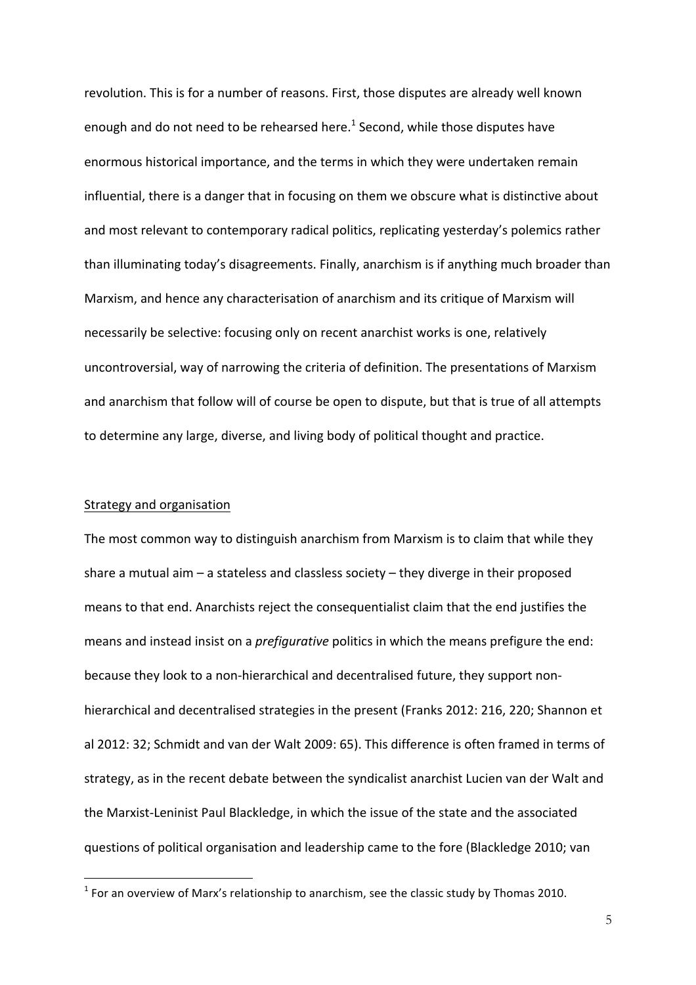revolution. This is for a number of reasons. First, those disputes are already well known enough and do not need to be rehearsed here.<sup>1</sup> Second, while those disputes have enormous historical importance, and the terms in which they were undertaken remain influential, there is a danger that in focusing on them we obscure what is distinctive about and most relevant to contemporary radical politics, replicating yesterday's polemics rather than illuminating today's disagreements. Finally, anarchism is if anything much broader than Marxism, and hence any characterisation of anarchism and its critique of Marxism will necessarily be selective: focusing only on recent anarchist works is one, relatively uncontroversial, way of narrowing the criteria of definition. The presentations of Marxism and anarchism that follow will of course be open to dispute, but that is true of all attempts to determine any large, diverse, and living body of political thought and practice.

#### Strategy and organisation

 $\overline{a}$ 

The most common way to distinguish anarchism from Marxism is to claim that while they share a mutual aim  $-$  a stateless and classless society  $-$  they diverge in their proposed means to that end. Anarchists reject the consequentialist claim that the end justifies the means and instead insist on a *prefigurative* politics in which the means prefigure the end: because they look to a non-hierarchical and decentralised future, they support nonhierarchical and decentralised strategies in the present (Franks 2012: 216, 220; Shannon et al 2012: 32; Schmidt and van der Walt 2009: 65). This difference is often framed in terms of strategy, as in the recent debate between the syndicalist anarchist Lucien van der Walt and the Marxist-Leninist Paul Blackledge, in which the issue of the state and the associated questions of political organisation and leadership came to the fore (Blackledge 2010; van

 $<sup>1</sup>$  For an overview of Marx's relationship to anarchism, see the classic study by Thomas 2010.</sup>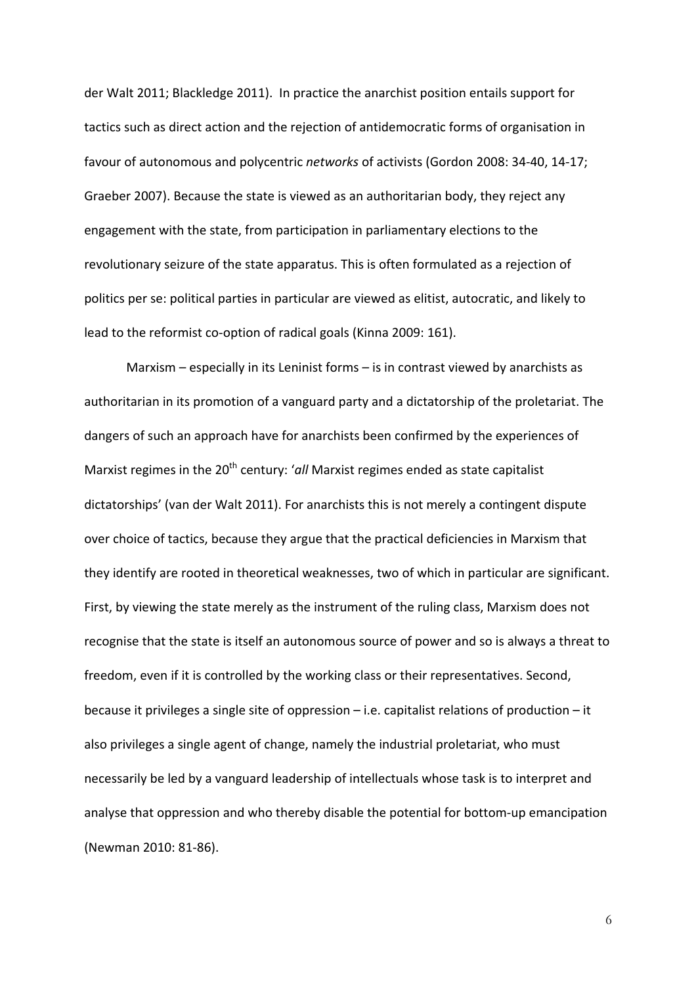der Walt 2011; Blackledge 2011). In practice the anarchist position entails support for tactics such as direct action and the rejection of antidemocratic forms of organisation in favour of autonomous and polycentric *networks* of activists (Gordon 2008: 34-40, 14-17; Graeber 2007). Because the state is viewed as an authoritarian body, they reject any engagement with the state, from participation in parliamentary elections to the revolutionary seizure of the state apparatus. This is often formulated as a rejection of politics per se: political parties in particular are viewed as elitist, autocratic, and likely to lead to the reformist co-option of radical goals (Kinna 2009: 161).

Marxism  $-$  especially in its Leninist forms  $-$  is in contrast viewed by anarchists as authoritarian in its promotion of a vanguard party and a dictatorship of the proletariat. The dangers of such an approach have for anarchists been confirmed by the experiences of Marxist regimes in the 20<sup>th</sup> century: '*all* Marxist regimes ended as state capitalist dictatorships' (van der Walt 2011). For anarchists this is not merely a contingent dispute over choice of tactics, because they argue that the practical deficiencies in Marxism that they identify are rooted in theoretical weaknesses, two of which in particular are significant. First, by viewing the state merely as the instrument of the ruling class, Marxism does not recognise that the state is itself an autonomous source of power and so is always a threat to freedom, even if it is controlled by the working class or their representatives. Second, because it privileges a single site of oppression  $-$  i.e. capitalist relations of production  $-$  it also privileges a single agent of change, namely the industrial proletariat, who must necessarily be led by a vanguard leadership of intellectuals whose task is to interpret and analyse that oppression and who thereby disable the potential for bottom-up emancipation (Newman 2010: 81-86).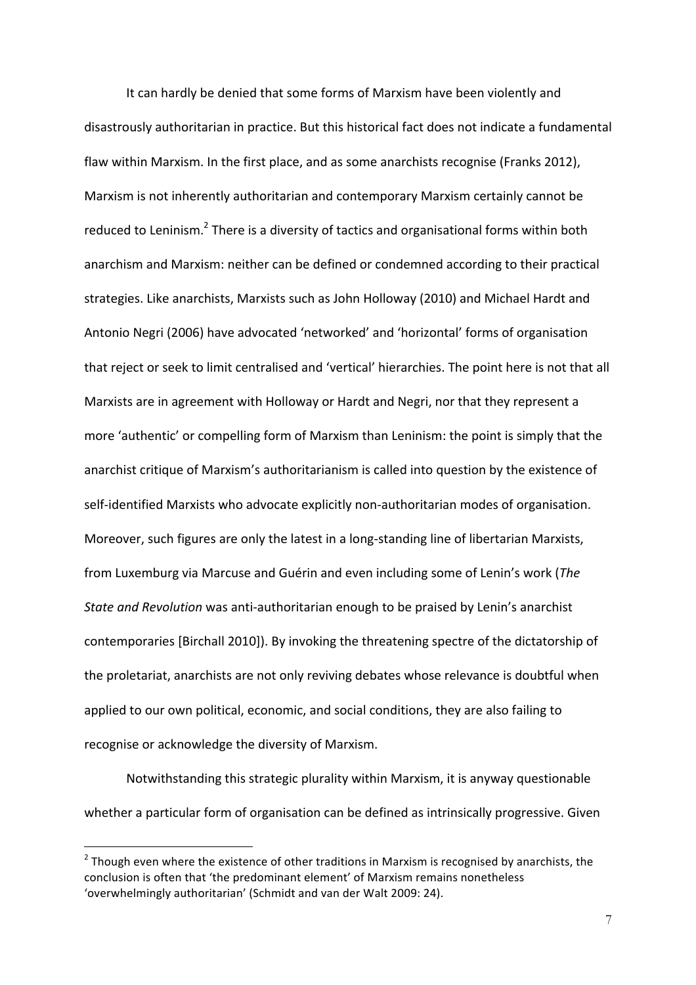It can hardly be denied that some forms of Marxism have been violently and disastrously authoritarian in practice. But this historical fact does not indicate a fundamental flaw within Marxism. In the first place, and as some anarchists recognise (Franks 2012). Marxism is not inherently authoritarian and contemporary Marxism certainly cannot be reduced to Leninism.<sup>2</sup> There is a diversity of tactics and organisational forms within both anarchism and Marxism: neither can be defined or condemned according to their practical strategies. Like anarchists, Marxists such as John Holloway (2010) and Michael Hardt and Antonio Negri (2006) have advocated 'networked' and 'horizontal' forms of organisation that reject or seek to limit centralised and 'vertical' hierarchies. The point here is not that all Marxists are in agreement with Holloway or Hardt and Negri, nor that they represent a more 'authentic' or compelling form of Marxism than Leninism: the point is simply that the anarchist critique of Marxism's authoritarianism is called into question by the existence of self-identified Marxists who advocate explicitly non-authoritarian modes of organisation. Moreover, such figures are only the latest in a long-standing line of libertarian Marxists, from Luxemburg via Marcuse and Guérin and even including some of Lenin's work (*The State and Revolution* was anti-authoritarian enough to be praised by Lenin's anarchist contemporaries [Birchall 2010]). By invoking the threatening spectre of the dictatorship of the proletariat, anarchists are not only reviving debates whose relevance is doubtful when applied to our own political, economic, and social conditions, they are also failing to recognise or acknowledge the diversity of Marxism.

Notwithstanding this strategic plurality within Marxism, it is anyway questionable whether a particular form of organisation can be defined as intrinsically progressive. Given

 $\overline{a}$ 

 $2$  Though even where the existence of other traditions in Marxism is recognised by anarchists, the conclusion is often that 'the predominant element' of Marxism remains nonetheless 'overwhelmingly authoritarian' (Schmidt and van der Walt 2009: 24).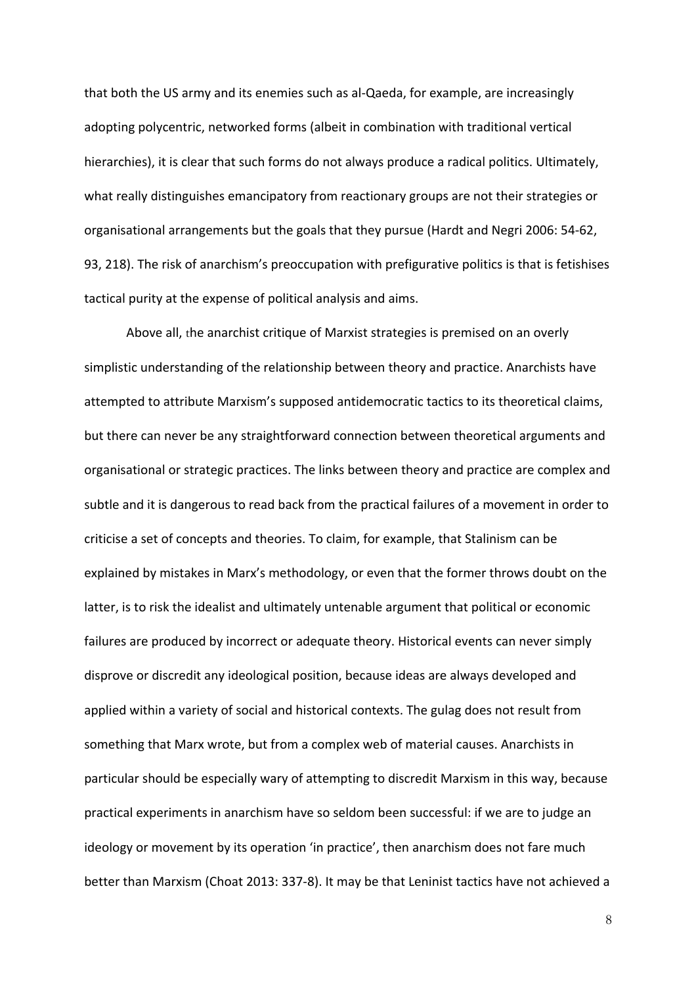that both the US army and its enemies such as al-Qaeda, for example, are increasingly adopting polycentric, networked forms (albeit in combination with traditional vertical hierarchies), it is clear that such forms do not always produce a radical politics. Ultimately, what really distinguishes emancipatory from reactionary groups are not their strategies or organisational arrangements but the goals that they pursue (Hardt and Negri 2006: 54-62, 93, 218). The risk of anarchism's preoccupation with prefigurative politics is that is fetishises tactical purity at the expense of political analysis and aims.

Above all, the anarchist critique of Marxist strategies is premised on an overly simplistic understanding of the relationship between theory and practice. Anarchists have attempted to attribute Marxism's supposed antidemocratic tactics to its theoretical claims, but there can never be any straightforward connection between theoretical arguments and organisational or strategic practices. The links between theory and practice are complex and subtle and it is dangerous to read back from the practical failures of a movement in order to criticise a set of concepts and theories. To claim, for example, that Stalinism can be explained by mistakes in Marx's methodology, or even that the former throws doubt on the latter, is to risk the idealist and ultimately untenable argument that political or economic failures are produced by incorrect or adequate theory. Historical events can never simply disprove or discredit any ideological position, because ideas are always developed and applied within a variety of social and historical contexts. The gulag does not result from something that Marx wrote, but from a complex web of material causes. Anarchists in particular should be especially wary of attempting to discredit Marxism in this way, because practical experiments in anarchism have so seldom been successful: if we are to judge an ideology or movement by its operation 'in practice', then anarchism does not fare much better than Marxism (Choat 2013: 337-8). It may be that Leninist tactics have not achieved a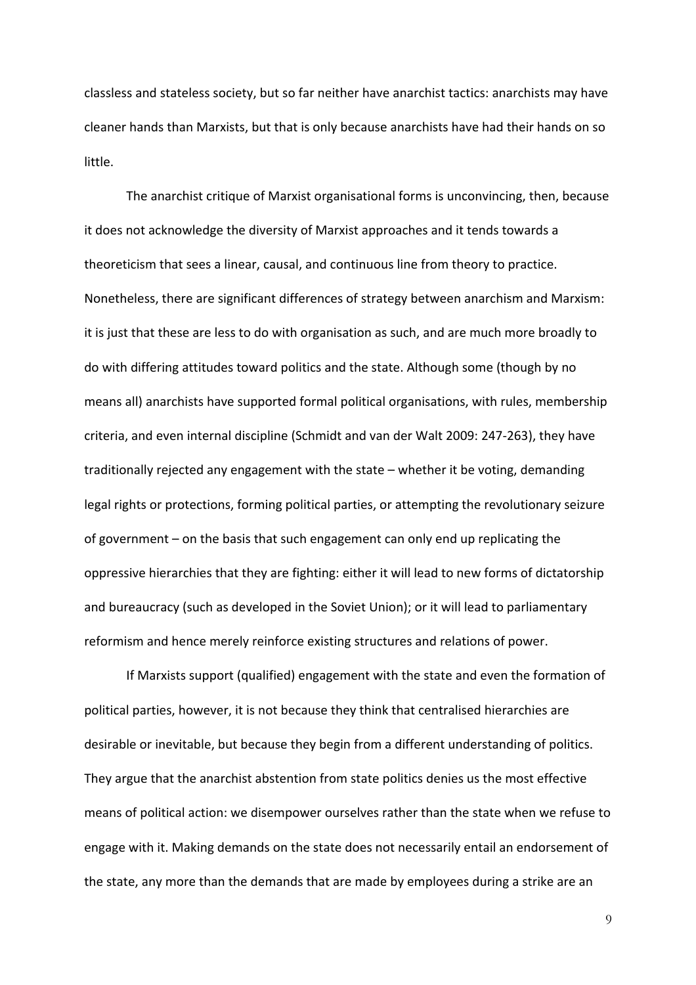classless and stateless society, but so far neither have anarchist tactics: anarchists may have cleaner hands than Marxists, but that is only because anarchists have had their hands on so little.

The anarchist critique of Marxist organisational forms is unconvincing, then, because it does not acknowledge the diversity of Marxist approaches and it tends towards a theoreticism that sees a linear, causal, and continuous line from theory to practice. Nonetheless, there are significant differences of strategy between anarchism and Marxism: it is just that these are less to do with organisation as such, and are much more broadly to do with differing attitudes toward politics and the state. Although some (though by no means all) anarchists have supported formal political organisations, with rules, membership criteria, and even internal discipline (Schmidt and van der Walt 2009: 247-263), they have traditionally rejected any engagement with the state  $-$  whether it be voting, demanding legal rights or protections, forming political parties, or attempting the revolutionary seizure of government – on the basis that such engagement can only end up replicating the oppressive hierarchies that they are fighting: either it will lead to new forms of dictatorship and bureaucracy (such as developed in the Soviet Union); or it will lead to parliamentary reformism and hence merely reinforce existing structures and relations of power.

If Marxists support (qualified) engagement with the state and even the formation of political parties, however, it is not because they think that centralised hierarchies are desirable or inevitable, but because they begin from a different understanding of politics. They argue that the anarchist abstention from state politics denies us the most effective means of political action: we disempower ourselves rather than the state when we refuse to engage with it. Making demands on the state does not necessarily entail an endorsement of the state, any more than the demands that are made by employees during a strike are an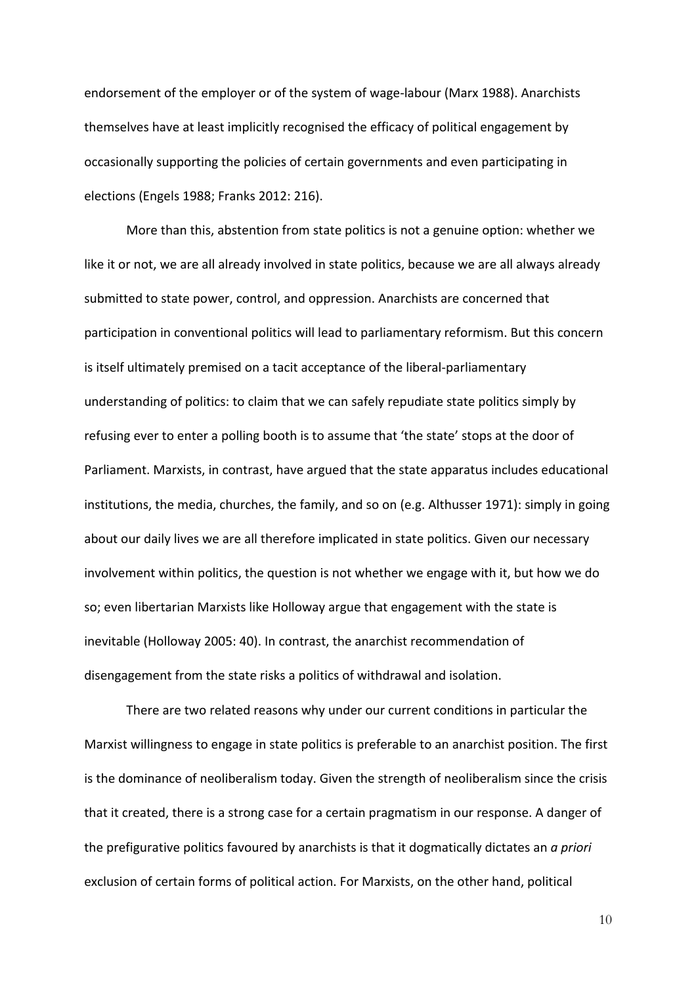endorsement of the employer or of the system of wage-labour (Marx 1988). Anarchists themselves have at least implicitly recognised the efficacy of political engagement by occasionally supporting the policies of certain governments and even participating in elections (Engels 1988; Franks 2012: 216).

More than this, abstention from state politics is not a genuine option: whether we like it or not, we are all already involved in state politics, because we are all always already submitted to state power, control, and oppression. Anarchists are concerned that participation in conventional politics will lead to parliamentary reformism. But this concern is itself ultimately premised on a tacit acceptance of the liberal-parliamentary understanding of politics: to claim that we can safely repudiate state politics simply by refusing ever to enter a polling booth is to assume that 'the state' stops at the door of Parliament. Marxists, in contrast, have argued that the state apparatus includes educational institutions, the media, churches, the family, and so on (e.g. Althusser 1971): simply in going about our daily lives we are all therefore implicated in state politics. Given our necessary involvement within politics, the question is not whether we engage with it, but how we do so; even libertarian Marxists like Holloway argue that engagement with the state is inevitable (Holloway 2005: 40). In contrast, the anarchist recommendation of disengagement from the state risks a politics of withdrawal and isolation.

There are two related reasons why under our current conditions in particular the Marxist willingness to engage in state politics is preferable to an anarchist position. The first is the dominance of neoliberalism today. Given the strength of neoliberalism since the crisis that it created, there is a strong case for a certain pragmatism in our response. A danger of the prefigurative politics favoured by anarchists is that it dogmatically dictates an *a priori* exclusion of certain forms of political action. For Marxists, on the other hand, political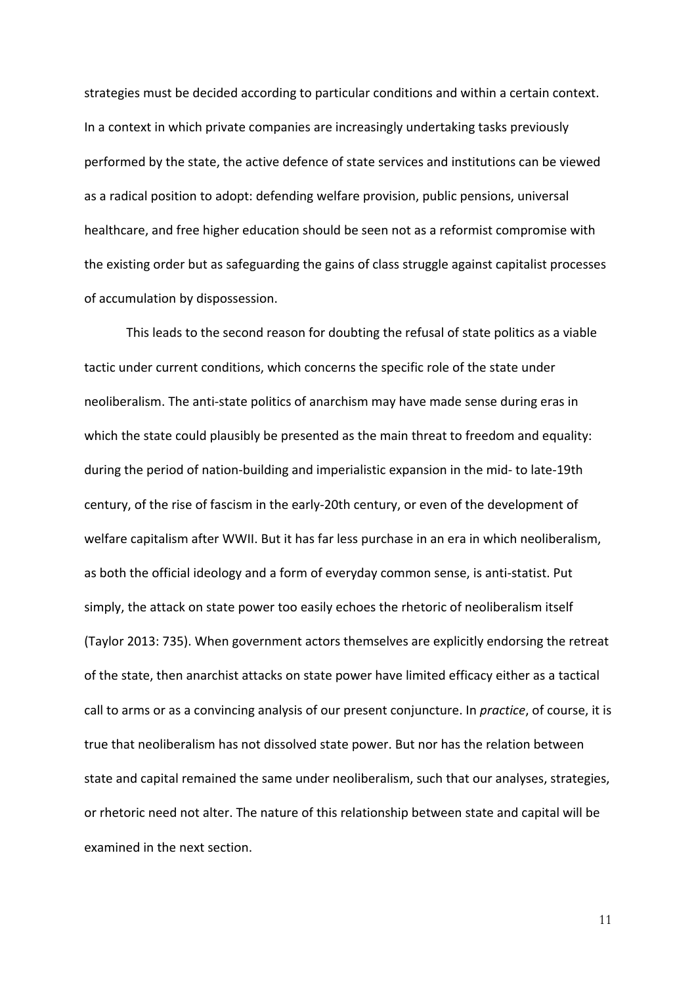strategies must be decided according to particular conditions and within a certain context. In a context in which private companies are increasingly undertaking tasks previously performed by the state, the active defence of state services and institutions can be viewed as a radical position to adopt: defending welfare provision, public pensions, universal healthcare, and free higher education should be seen not as a reformist compromise with the existing order but as safeguarding the gains of class struggle against capitalist processes of accumulation by dispossession.

This leads to the second reason for doubting the refusal of state politics as a viable tactic under current conditions, which concerns the specific role of the state under neoliberalism. The anti-state politics of anarchism may have made sense during eras in which the state could plausibly be presented as the main threat to freedom and equality: during the period of nation-building and imperialistic expansion in the mid- to late-19th century, of the rise of fascism in the early-20th century, or even of the development of welfare capitalism after WWII. But it has far less purchase in an era in which neoliberalism, as both the official ideology and a form of everyday common sense, is anti-statist. Put simply, the attack on state power too easily echoes the rhetoric of neoliberalism itself (Taylor 2013: 735). When government actors themselves are explicitly endorsing the retreat of the state, then anarchist attacks on state power have limited efficacy either as a tactical call to arms or as a convincing analysis of our present conjuncture. In *practice*, of course, it is true that neoliberalism has not dissolved state power. But nor has the relation between state and capital remained the same under neoliberalism, such that our analyses, strategies, or rhetoric need not alter. The nature of this relationship between state and capital will be examined in the next section.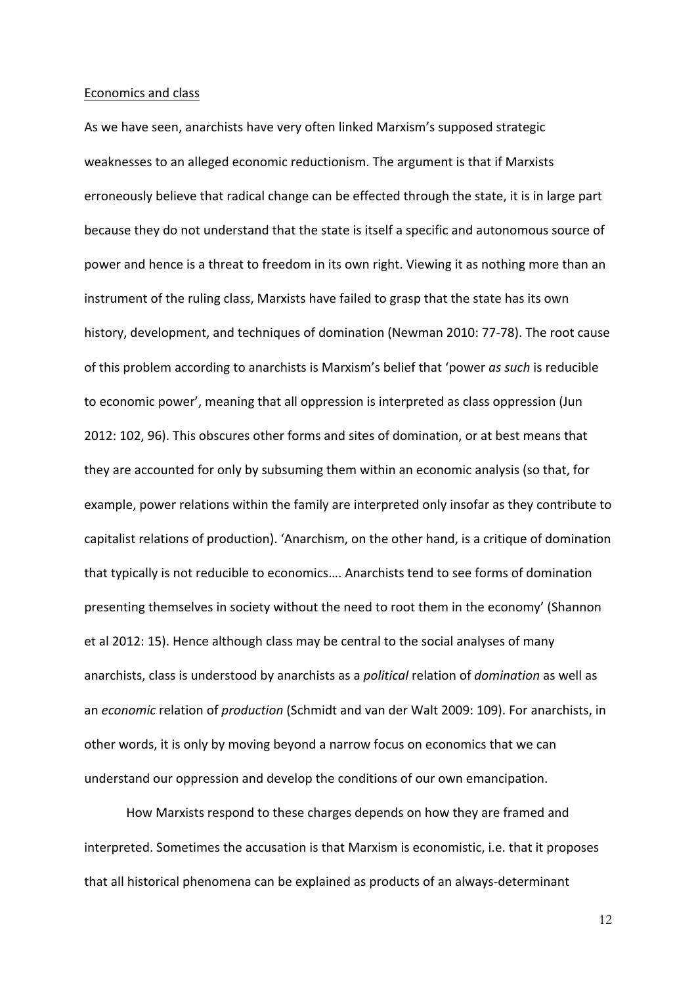#### Economics and class

As we have seen, anarchists have very often linked Marxism's supposed strategic weaknesses to an alleged economic reductionism. The argument is that if Marxists erroneously believe that radical change can be effected through the state, it is in large part because they do not understand that the state is itself a specific and autonomous source of power and hence is a threat to freedom in its own right. Viewing it as nothing more than an instrument of the ruling class, Marxists have failed to grasp that the state has its own history, development, and techniques of domination (Newman 2010: 77-78). The root cause of this problem according to anarchists is Marxism's belief that 'power *as such* is reducible to economic power', meaning that all oppression is interpreted as class oppression (Jun 2012: 102, 96). This obscures other forms and sites of domination, or at best means that they are accounted for only by subsuming them within an economic analysis (so that, for example, power relations within the family are interpreted only insofar as they contribute to capitalist relations of production). 'Anarchism, on the other hand, is a critique of domination that typically is not reducible to economics.... Anarchists tend to see forms of domination presenting themselves in society without the need to root them in the economy' (Shannon et al 2012: 15). Hence although class may be central to the social analyses of many anarchists, class is understood by anarchists as a *political* relation of *domination* as well as an *economic* relation of *production* (Schmidt and van der Walt 2009: 109). For anarchists, in other words, it is only by moving beyond a narrow focus on economics that we can understand our oppression and develop the conditions of our own emancipation.

How Marxists respond to these charges depends on how they are framed and interpreted. Sometimes the accusation is that Marxism is economistic, i.e. that it proposes that all historical phenomena can be explained as products of an always-determinant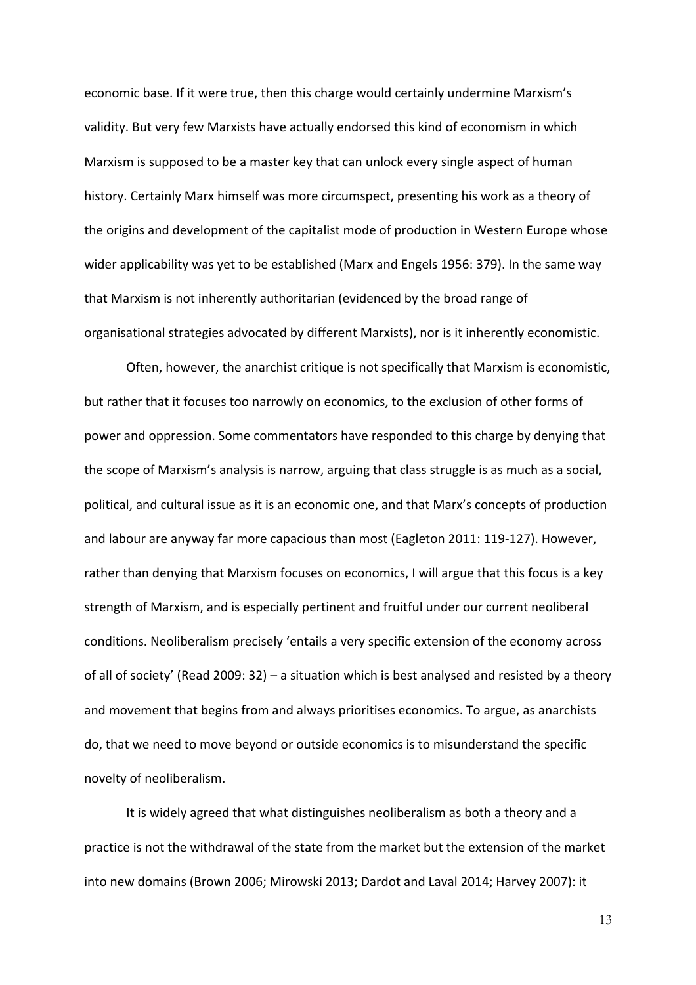economic base. If it were true, then this charge would certainly undermine Marxism's validity. But very few Marxists have actually endorsed this kind of economism in which Marxism is supposed to be a master key that can unlock every single aspect of human history. Certainly Marx himself was more circumspect, presenting his work as a theory of the origins and development of the capitalist mode of production in Western Europe whose wider applicability was yet to be established (Marx and Engels 1956: 379). In the same way that Marxism is not inherently authoritarian (evidenced by the broad range of organisational strategies advocated by different Marxists), nor is it inherently economistic.

Often, however, the anarchist critique is not specifically that Marxism is economistic, but rather that it focuses too narrowly on economics, to the exclusion of other forms of power and oppression. Some commentators have responded to this charge by denying that the scope of Marxism's analysis is narrow, arguing that class struggle is as much as a social, political, and cultural issue as it is an economic one, and that Marx's concepts of production and labour are anyway far more capacious than most (Eagleton 2011: 119-127). However, rather than denying that Marxism focuses on economics, I will argue that this focus is a key strength of Marxism, and is especially pertinent and fruitful under our current neoliberal conditions. Neoliberalism precisely 'entails a very specific extension of the economy across of all of society' (Read 2009: 32) – a situation which is best analysed and resisted by a theory and movement that begins from and always prioritises economics. To argue, as anarchists do, that we need to move beyond or outside economics is to misunderstand the specific novelty of neoliberalism.

It is widely agreed that what distinguishes neoliberalism as both a theory and a practice is not the withdrawal of the state from the market but the extension of the market into new domains (Brown 2006; Mirowski 2013; Dardot and Laval 2014; Harvey 2007): it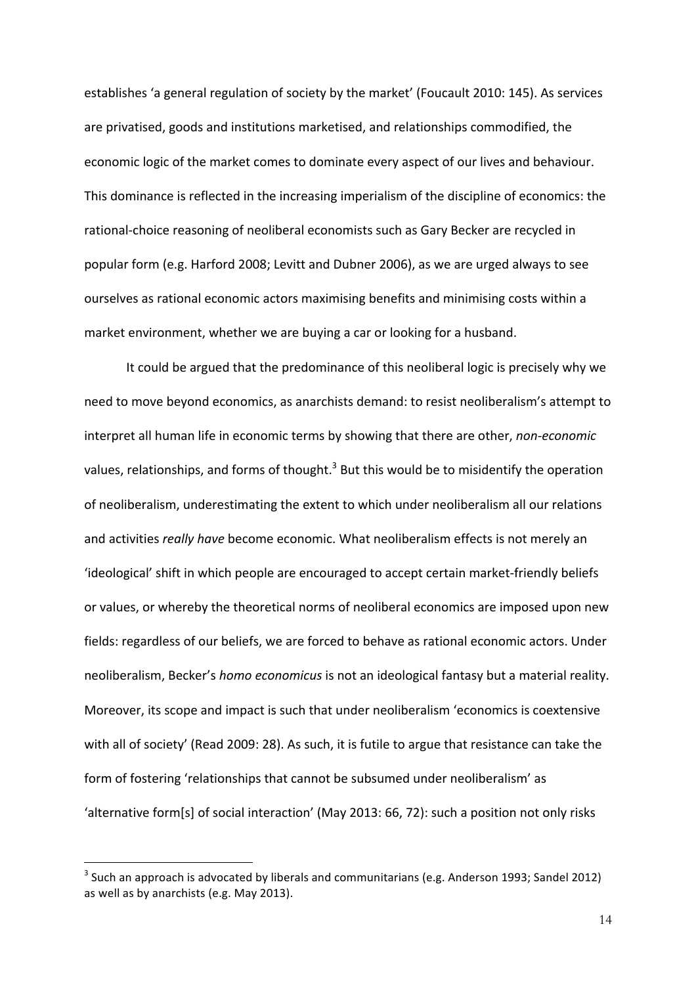establishes 'a general regulation of society by the market' (Foucault 2010: 145). As services are privatised, goods and institutions marketised, and relationships commodified, the economic logic of the market comes to dominate every aspect of our lives and behaviour. This dominance is reflected in the increasing imperialism of the discipline of economics: the rational-choice reasoning of neoliberal economists such as Gary Becker are recycled in popular form (e.g. Harford 2008; Levitt and Dubner 2006), as we are urged always to see ourselves as rational economic actors maximising benefits and minimising costs within a market environment, whether we are buying a car or looking for a husband.

It could be argued that the predominance of this neoliberal logic is precisely why we need to move beyond economics, as anarchists demand: to resist neoliberalism's attempt to interpret all human life in economic terms by showing that there are other, *non-economic* values, relationships, and forms of thought.<sup>3</sup> But this would be to misidentify the operation of neoliberalism, underestimating the extent to which under neoliberalism all our relations and activities *really have* become economic. What neoliberalism effects is not merely an 'ideological' shift in which people are encouraged to accept certain market-friendly beliefs or values, or whereby the theoretical norms of neoliberal economics are imposed upon new fields: regardless of our beliefs, we are forced to behave as rational economic actors. Under neoliberalism, Becker's *homo economicus* is not an ideological fantasy but a material reality. Moreover, its scope and impact is such that under neoliberalism 'economics is coextensive with all of society' (Read 2009: 28). As such, it is futile to argue that resistance can take the form of fostering 'relationships that cannot be subsumed under neoliberalism' as 'alternative form[s] of social interaction' (May 2013: 66, 72): such a position not only risks

 $\overline{a}$ 

 $3$  Such an approach is advocated by liberals and communitarians (e.g. Anderson 1993; Sandel 2012) as well as by anarchists (e.g. May 2013).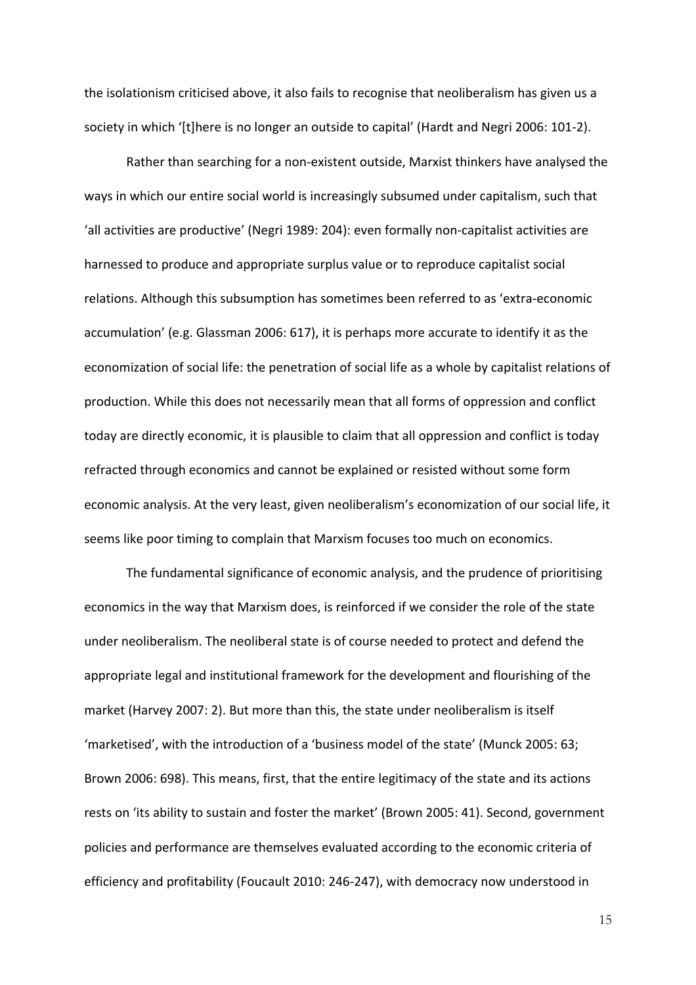the isolationism criticised above, it also fails to recognise that neoliberalism has given us a society in which '[t]here is no longer an outside to capital' (Hardt and Negri 2006: 101-2).

Rather than searching for a non-existent outside, Marxist thinkers have analysed the ways in which our entire social world is increasingly subsumed under capitalism, such that 'all activities are productive' (Negri 1989: 204): even formally non-capitalist activities are harnessed to produce and appropriate surplus value or to reproduce capitalist social relations. Although this subsumption has sometimes been referred to as 'extra-economic accumulation' (e.g. Glassman 2006: 617), it is perhaps more accurate to identify it as the economization of social life: the penetration of social life as a whole by capitalist relations of production. While this does not necessarily mean that all forms of oppression and conflict today are directly economic, it is plausible to claim that all oppression and conflict is today refracted through economics and cannot be explained or resisted without some form economic analysis. At the very least, given neoliberalism's economization of our social life, it seems like poor timing to complain that Marxism focuses too much on economics.

The fundamental significance of economic analysis, and the prudence of prioritising economics in the way that Marxism does, is reinforced if we consider the role of the state under neoliberalism. The neoliberal state is of course needed to protect and defend the appropriate legal and institutional framework for the development and flourishing of the market (Harvey 2007: 2). But more than this, the state under neoliberalism is itself 'marketised', with the introduction of a 'business model of the state' (Munck 2005: 63; Brown 2006: 698). This means, first, that the entire legitimacy of the state and its actions rests on 'its ability to sustain and foster the market' (Brown 2005: 41). Second, government policies and performance are themselves evaluated according to the economic criteria of efficiency and profitability (Foucault 2010: 246-247), with democracy now understood in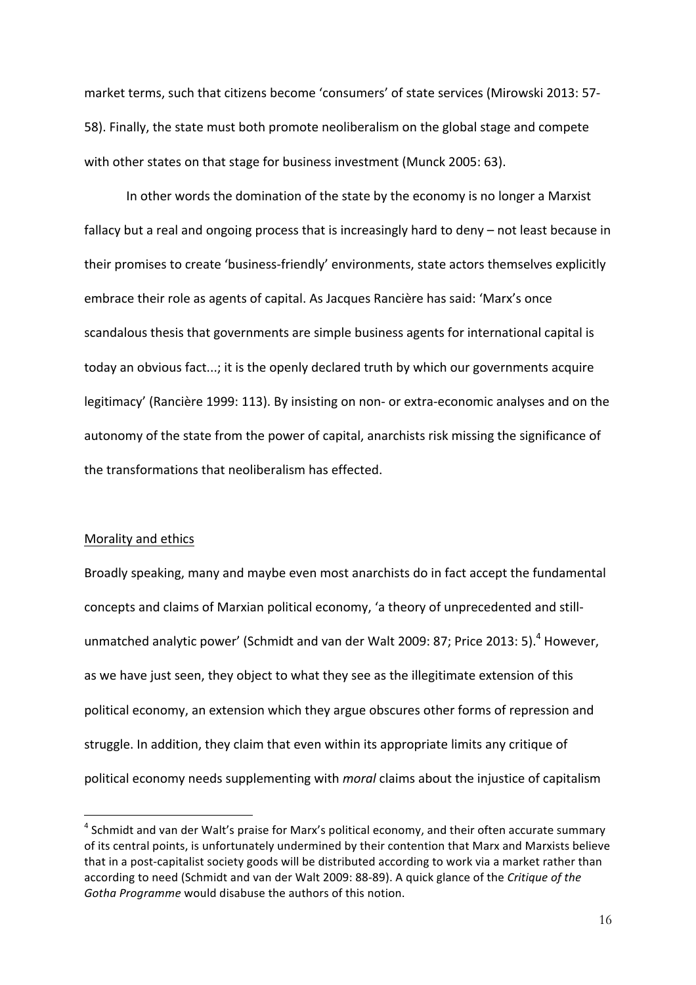market terms, such that citizens become 'consumers' of state services (Mirowski 2013: 57-58). Finally, the state must both promote neoliberalism on the global stage and compete with other states on that stage for business investment (Munck 2005: 63).

In other words the domination of the state by the economy is no longer a Marxist fallacy but a real and ongoing process that is increasingly hard to deny – not least because in their promises to create 'business-friendly' environments, state actors themselves explicitly embrace their role as agents of capital. As Jacques Rancière has said: 'Marx's once scandalous thesis that governments are simple business agents for international capital is today an obvious fact...; it is the openly declared truth by which our governments acquire legitimacy' (Rancière 1999: 113). By insisting on non- or extra-economic analyses and on the autonomy of the state from the power of capital, anarchists risk missing the significance of the transformations that neoliberalism has effected

## Morality and ethics

 $\overline{a}$ 

Broadly speaking, many and maybe even most anarchists do in fact accept the fundamental concepts and claims of Marxian political economy, 'a theory of unprecedented and stillunmatched analytic power' (Schmidt and van der Walt 2009: 87; Price 2013: 5).<sup>4</sup> However, as we have just seen, they object to what they see as the illegitimate extension of this political economy, an extension which they argue obscures other forms of repression and struggle. In addition, they claim that even within its appropriate limits any critique of political economy needs supplementing with *moral* claims about the injustice of capitalism

<sup>&</sup>lt;sup>4</sup> Schmidt and van der Walt's praise for Marx's political economy, and their often accurate summary of its central points, is unfortunately undermined by their contention that Marx and Marxists believe that in a post-capitalist society goods will be distributed according to work via a market rather than according to need (Schmidt and van der Walt 2009: 88-89). A quick glance of the *Critique of the* Gotha Programme would disabuse the authors of this notion.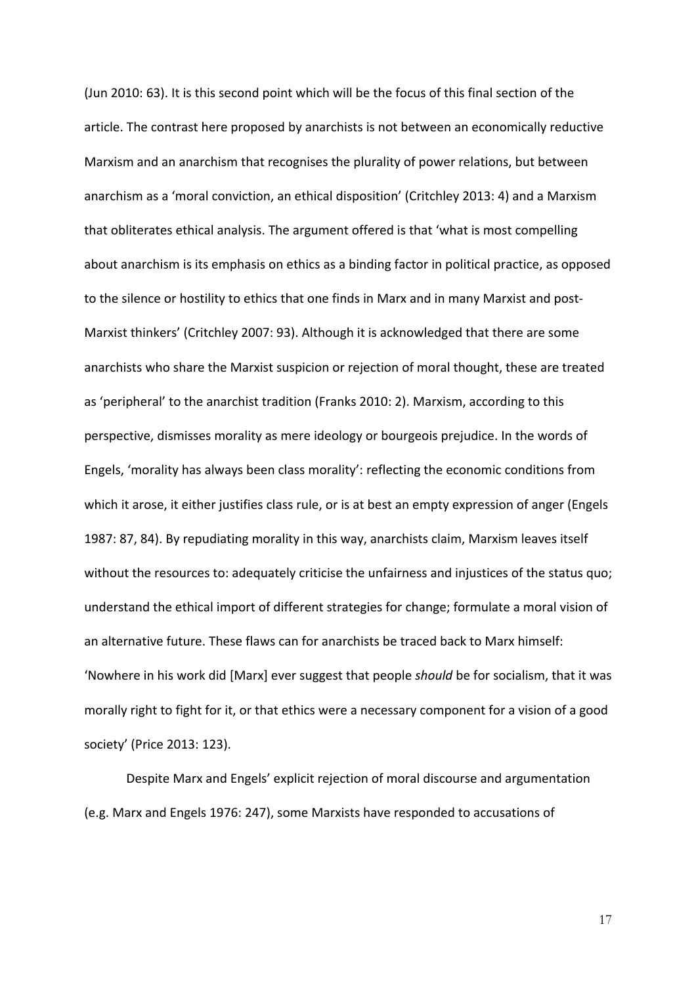(Jun 2010: 63). It is this second point which will be the focus of this final section of the article. The contrast here proposed by anarchists is not between an economically reductive Marxism and an anarchism that recognises the plurality of power relations, but between anarchism as a 'moral conviction, an ethical disposition' (Critchley 2013: 4) and a Marxism that obliterates ethical analysis. The argument offered is that 'what is most compelling about anarchism is its emphasis on ethics as a binding factor in political practice, as opposed to the silence or hostility to ethics that one finds in Marx and in many Marxist and post-Marxist thinkers' (Critchley 2007: 93). Although it is acknowledged that there are some anarchists who share the Marxist suspicion or rejection of moral thought, these are treated as 'peripheral' to the anarchist tradition (Franks 2010: 2). Marxism, according to this perspective, dismisses morality as mere ideology or bourgeois prejudice. In the words of Engels, 'morality has always been class morality': reflecting the economic conditions from which it arose, it either justifies class rule, or is at best an empty expression of anger (Engels 1987: 87, 84). By repudiating morality in this way, anarchists claim, Marxism leaves itself without the resources to: adequately criticise the unfairness and injustices of the status quo; understand the ethical import of different strategies for change; formulate a moral vision of an alternative future. These flaws can for anarchists be traced back to Marx himself: 'Nowhere in his work did [Marx] ever suggest that people should be for socialism, that it was morally right to fight for it, or that ethics were a necessary component for a vision of a good society' (Price 2013: 123).

Despite Marx and Engels' explicit rejection of moral discourse and argumentation (e.g. Marx and Engels 1976: 247), some Marxists have responded to accusations of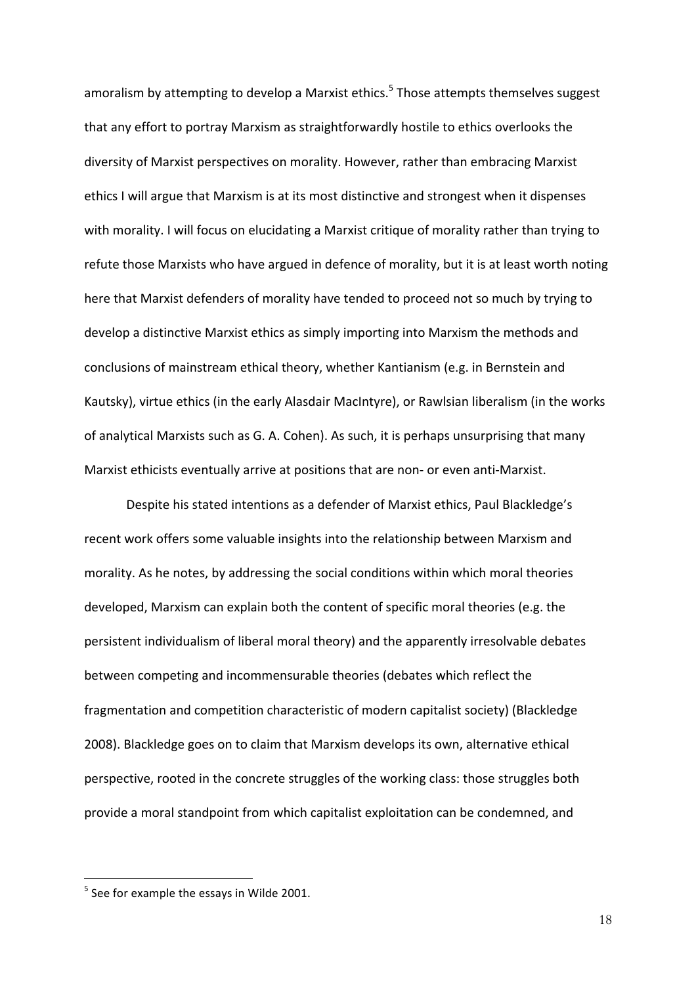amoralism by attempting to develop a Marxist ethics.<sup>5</sup> Those attempts themselves suggest that any effort to portray Marxism as straightforwardly hostile to ethics overlooks the diversity of Marxist perspectives on morality. However, rather than embracing Marxist ethics I will argue that Marxism is at its most distinctive and strongest when it dispenses with morality. I will focus on elucidating a Marxist critique of morality rather than trying to refute those Marxists who have argued in defence of morality, but it is at least worth noting here that Marxist defenders of morality have tended to proceed not so much by trying to develop a distinctive Marxist ethics as simply importing into Marxism the methods and conclusions of mainstream ethical theory, whether Kantianism (e.g. in Bernstein and Kautsky), virtue ethics (in the early Alasdair MacIntyre), or Rawlsian liberalism (in the works of analytical Marxists such as G. A. Cohen). As such, it is perhaps unsurprising that many Marxist ethicists eventually arrive at positions that are non- or even anti-Marxist.

Despite his stated intentions as a defender of Marxist ethics, Paul Blackledge's recent work offers some valuable insights into the relationship between Marxism and morality. As he notes, by addressing the social conditions within which moral theories developed, Marxism can explain both the content of specific moral theories (e.g. the persistent individualism of liberal moral theory) and the apparently irresolvable debates between competing and incommensurable theories (debates which reflect the fragmentation and competition characteristic of modern capitalist society) (Blackledge 2008). Blackledge goes on to claim that Marxism develops its own, alternative ethical perspective, rooted in the concrete struggles of the working class: those struggles both provide a moral standpoint from which capitalist exploitation can be condemned, and

 $\overline{a}$ 

 $5$  See for example the essays in Wilde 2001.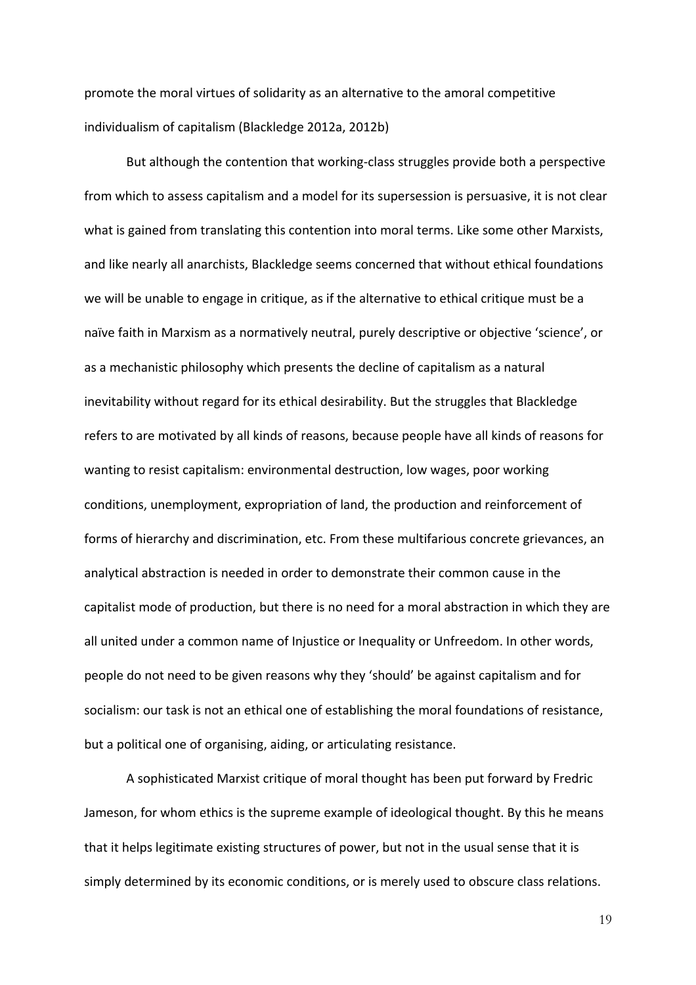promote the moral virtues of solidarity as an alternative to the amoral competitive individualism of capitalism (Blackledge 2012a, 2012b)

But although the contention that working-class struggles provide both a perspective from which to assess capitalism and a model for its supersession is persuasive, it is not clear what is gained from translating this contention into moral terms. Like some other Marxists, and like nearly all anarchists, Blackledge seems concerned that without ethical foundations we will be unable to engage in critique, as if the alternative to ethical critique must be a naïve faith in Marxism as a normatively neutral, purely descriptive or objective 'science', or as a mechanistic philosophy which presents the decline of capitalism as a natural inevitability without regard for its ethical desirability. But the struggles that Blackledge refers to are motivated by all kinds of reasons, because people have all kinds of reasons for wanting to resist capitalism: environmental destruction, low wages, poor working conditions, unemployment, expropriation of land, the production and reinforcement of forms of hierarchy and discrimination, etc. From these multifarious concrete grievances, an analytical abstraction is needed in order to demonstrate their common cause in the capitalist mode of production, but there is no need for a moral abstraction in which they are all united under a common name of Injustice or Inequality or Unfreedom. In other words, people do not need to be given reasons why they 'should' be against capitalism and for socialism: our task is not an ethical one of establishing the moral foundations of resistance, but a political one of organising, aiding, or articulating resistance.

A sophisticated Marxist critique of moral thought has been put forward by Fredric Jameson, for whom ethics is the supreme example of ideological thought. By this he means that it helps legitimate existing structures of power, but not in the usual sense that it is simply determined by its economic conditions, or is merely used to obscure class relations.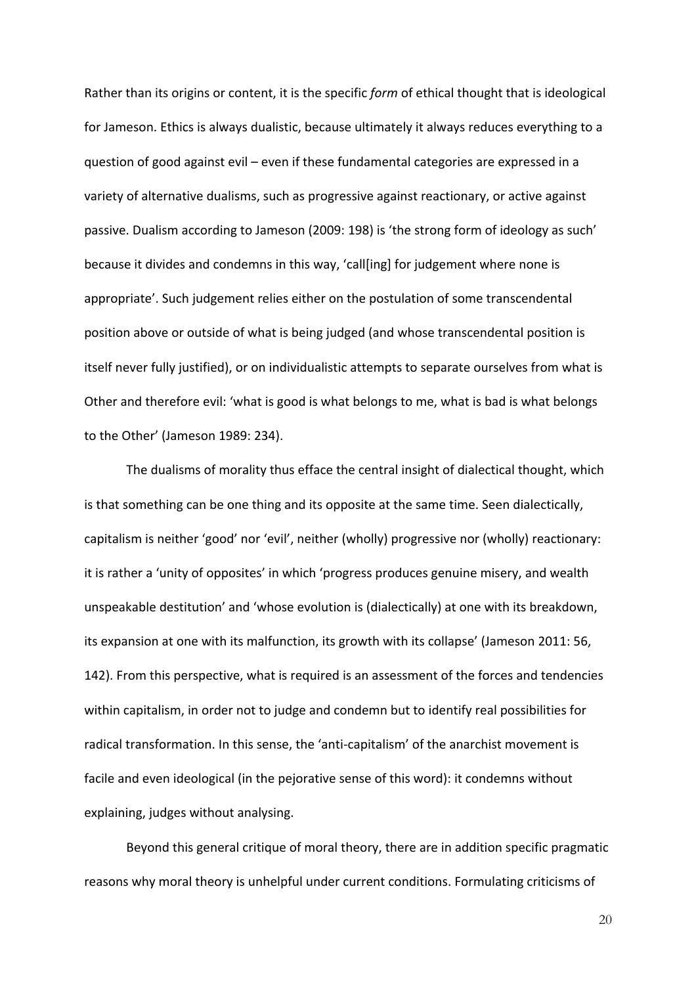Rather than its origins or content, it is the specific *form* of ethical thought that is ideological for Jameson. Ethics is always dualistic, because ultimately it always reduces everything to a question of good against  $evil - even$  if these fundamental categories are expressed in a variety of alternative dualisms, such as progressive against reactionary, or active against passive. Dualism according to Jameson (2009: 198) is 'the strong form of ideology as such' because it divides and condemns in this way, 'call[ing] for judgement where none is appropriate'. Such judgement relies either on the postulation of some transcendental position above or outside of what is being judged (and whose transcendental position is itself never fully justified), or on individualistic attempts to separate ourselves from what is Other and therefore evil: 'what is good is what belongs to me, what is bad is what belongs to the Other' (Jameson 1989: 234).

The dualisms of morality thus efface the central insight of dialectical thought, which is that something can be one thing and its opposite at the same time. Seen dialectically, capitalism is neither 'good' nor 'evil', neither (wholly) progressive nor (wholly) reactionary: it is rather a 'unity of opposites' in which 'progress produces genuine misery, and wealth unspeakable destitution' and 'whose evolution is (dialectically) at one with its breakdown, its expansion at one with its malfunction, its growth with its collapse' (Jameson 2011: 56, 142). From this perspective, what is required is an assessment of the forces and tendencies within capitalism, in order not to judge and condemn but to identify real possibilities for radical transformation. In this sense, the 'anti-capitalism' of the anarchist movement is facile and even ideological (in the pejorative sense of this word): it condemns without explaining, judges without analysing.

Beyond this general critique of moral theory, there are in addition specific pragmatic reasons why moral theory is unhelpful under current conditions. Formulating criticisms of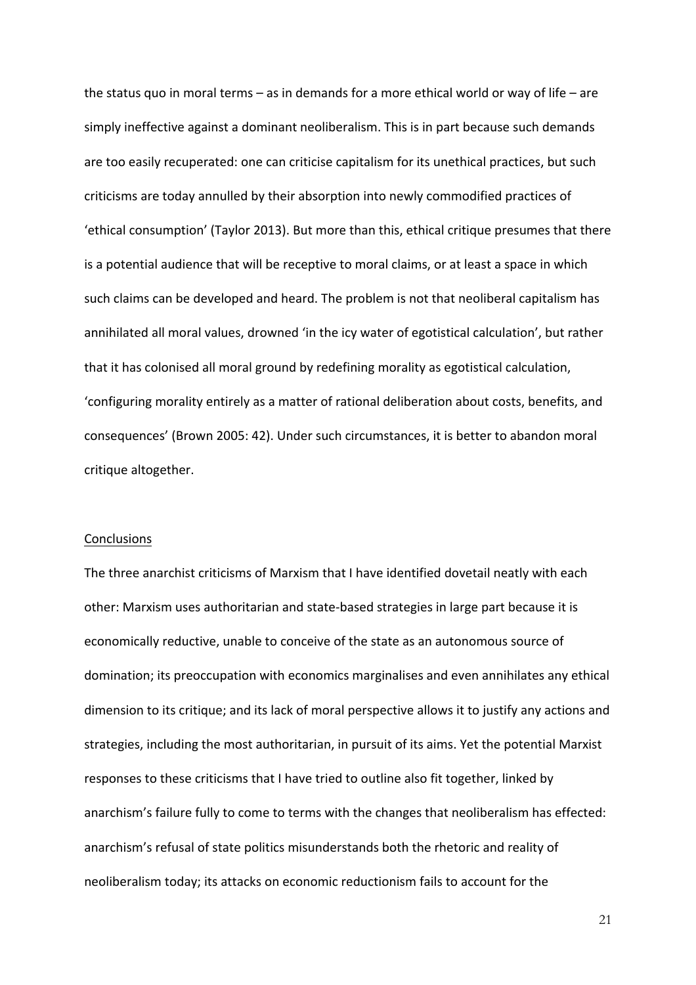the status quo in moral terms – as in demands for a more ethical world or way of life – are simply ineffective against a dominant neoliberalism. This is in part because such demands are too easily recuperated: one can criticise capitalism for its unethical practices, but such criticisms are today annulled by their absorption into newly commodified practices of 'ethical consumption' (Taylor 2013). But more than this, ethical critique presumes that there is a potential audience that will be receptive to moral claims, or at least a space in which such claims can be developed and heard. The problem is not that neoliberal capitalism has annihilated all moral values, drowned 'in the icy water of egotistical calculation', but rather that it has colonised all moral ground by redefining morality as egotistical calculation, 'configuring morality entirely as a matter of rational deliberation about costs, benefits, and consequences' (Brown 2005: 42). Under such circumstances, it is better to abandon moral critique altogether.

## **Conclusions**

The three anarchist criticisms of Marxism that I have identified dovetail neatly with each other: Marxism uses authoritarian and state-based strategies in large part because it is economically reductive, unable to conceive of the state as an autonomous source of domination; its preoccupation with economics marginalises and even annihilates any ethical dimension to its critique; and its lack of moral perspective allows it to justify any actions and strategies, including the most authoritarian, in pursuit of its aims. Yet the potential Marxist responses to these criticisms that I have tried to outline also fit together, linked by anarchism's failure fully to come to terms with the changes that neoliberalism has effected: anarchism's refusal of state politics misunderstands both the rhetoric and reality of neoliberalism today; its attacks on economic reductionism fails to account for the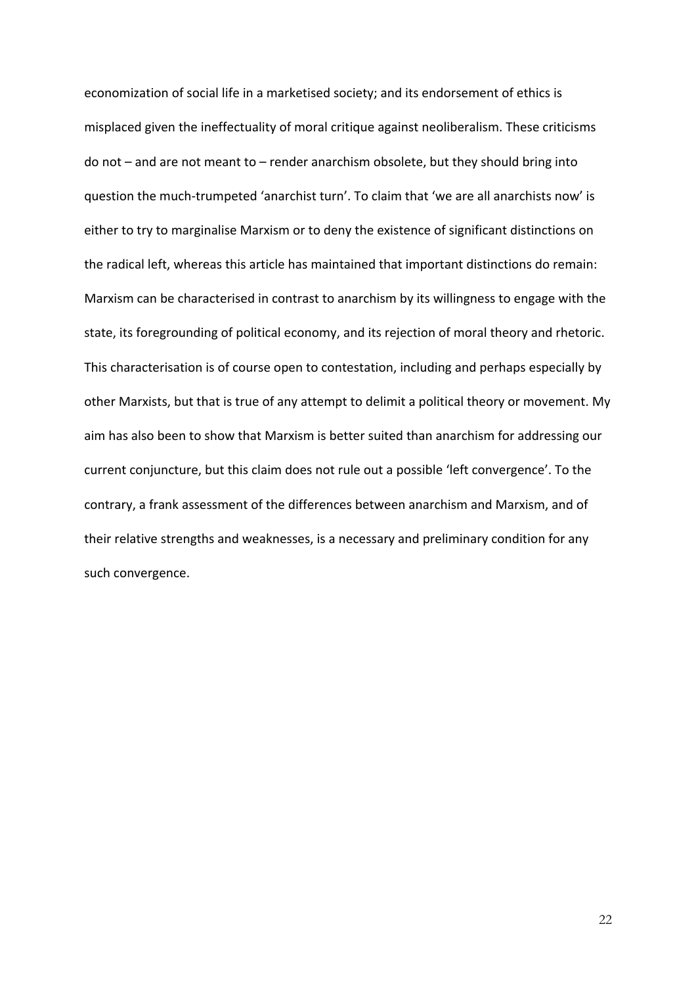economization of social life in a marketised society; and its endorsement of ethics is misplaced given the ineffectuality of moral critique against neoliberalism. These criticisms do not  $-$  and are not meant to  $-$  render anarchism obsolete, but they should bring into question the much-trumpeted 'anarchist turn'. To claim that 'we are all anarchists now' is either to try to marginalise Marxism or to deny the existence of significant distinctions on the radical left, whereas this article has maintained that important distinctions do remain: Marxism can be characterised in contrast to anarchism by its willingness to engage with the state, its foregrounding of political economy, and its rejection of moral theory and rhetoric. This characterisation is of course open to contestation, including and perhaps especially by other Marxists, but that is true of any attempt to delimit a political theory or movement. My aim has also been to show that Marxism is better suited than anarchism for addressing our current conjuncture, but this claim does not rule out a possible 'left convergence'. To the contrary, a frank assessment of the differences between anarchism and Marxism, and of their relative strengths and weaknesses, is a necessary and preliminary condition for any such convergence.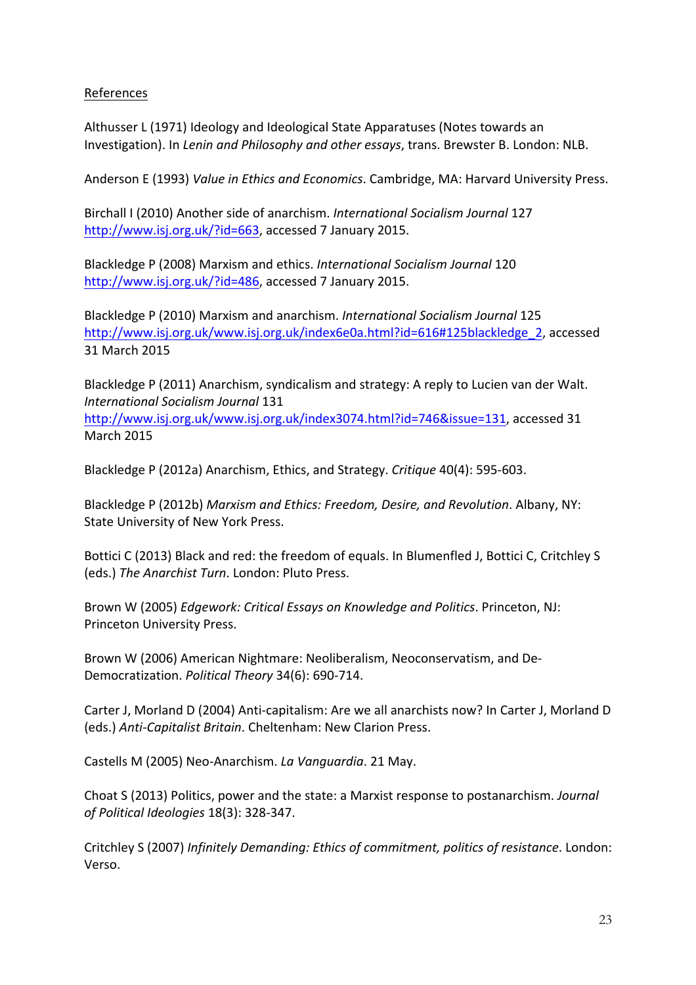# References

Althusser L (1971) Ideology and Ideological State Apparatuses (Notes towards an Investigation). In *Lenin and Philosophy and other essays*, trans. Brewster B. London: NLB.

Anderson E (1993) *Value in Ethics and Economics*. Cambridge, MA: Harvard University Press.

Birchall I (2010) Another side of anarchism. *International Socialism Journal* 127 http://www.isj.org.uk/?id=663, accessed 7 January 2015.

Blackledge P (2008) Marxism and ethics. *International Socialism Journal* 120 http://www.isj.org.uk/?id=486, accessed 7 January 2015.

Blackledge P (2010) Marxism and anarchism. *International Socialism Journal* 125 http://www.isj.org.uk/www.isj.org.uk/index6e0a.html?id=616#125blackledge\_2, accessed 31 March 2015

Blackledge P (2011) Anarchism, syndicalism and strategy: A reply to Lucien van der Walt. *International Socialism Journal* 131 http://www.isj.org.uk/www.isj.org.uk/index3074.html?id=746&issue=131, accessed 31 March 2015

Blackledge P (2012a) Anarchism, Ethics, and Strategy. *Critique* 40(4): 595-603.

Blackledge P (2012b) Marxism and Ethics: Freedom, Desire, and Revolution. Albany, NY: State University of New York Press.

Bottici C (2013) Black and red: the freedom of equals. In Blumenfled J, Bottici C, Critchley S (eds.) The Anarchist Turn. London: Pluto Press.

Brown W (2005) *Edgework: Critical Essays on Knowledge and Politics*. Princeton, NJ: Princeton University Press.

Brown W (2006) American Nightmare: Neoliberalism, Neoconservatism, and De-Democratization. *Political Theory* 34(6): 690-714.

Carter J, Morland D (2004) Anti-capitalism: Are we all anarchists now? In Carter J, Morland D (eds.) Anti-Capitalist Britain. Cheltenham: New Clarion Press.

Castells M (2005) Neo-Anarchism. *La Vanguardia*. 21 May.

Choat S (2013) Politics, power and the state: a Marxist response to postanarchism. *Journal of Political Ideologies* 18(3): 328-347.

Critchley S (2007) *Infinitely Demanding: Ethics of commitment, politics of resistance*. London: Verso.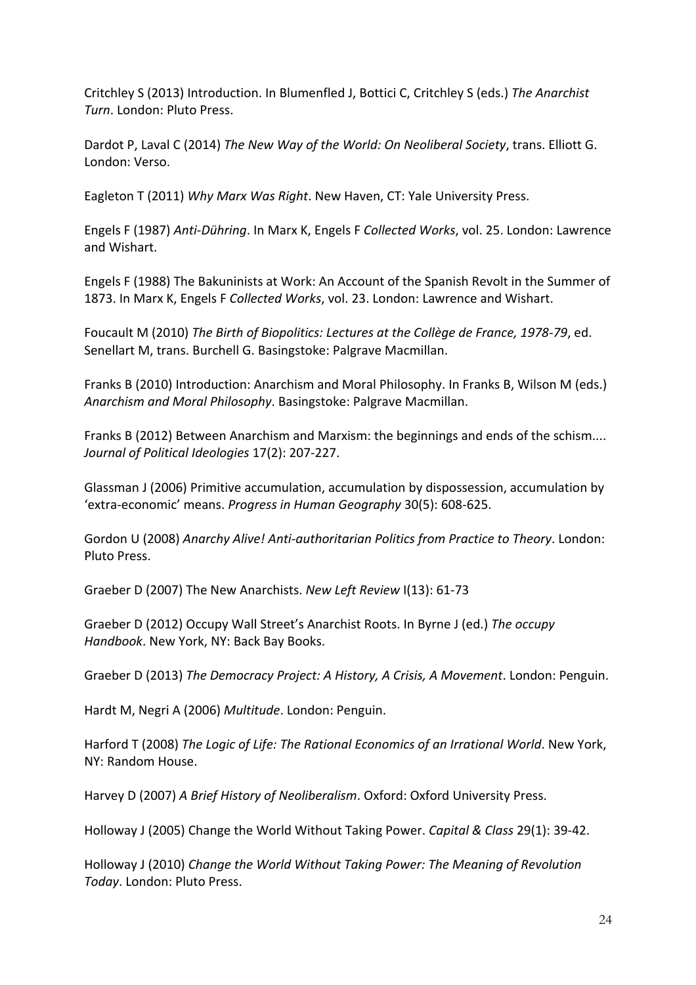Critchley S (2013) Introduction. In Blumenfled J, Bottici C, Critchley S (eds.) The Anarchist *Turn*. London: Pluto Press.

Dardot P, Laval C (2014) *The New Way of the World: On Neoliberal Society*, trans. Elliott G. London: Verso.

Eagleton T (2011) Why Marx Was Right. New Haven, CT: Yale University Press.

Engels F (1987) Anti-Dühring. In Marx K, Engels F Collected Works, vol. 25. London: Lawrence and Wishart.

Engels F (1988) The Bakuninists at Work: An Account of the Spanish Revolt in the Summer of 1873. In Marx K, Engels F *Collected Works*, vol. 23. London: Lawrence and Wishart.

Foucault M (2010) The Birth of Biopolitics: Lectures at the Collège de France, 1978-79, ed. Senellart M, trans. Burchell G. Basingstoke: Palgrave Macmillan.

Franks B (2010) Introduction: Anarchism and Moral Philosophy. In Franks B, Wilson M (eds.) Anarchism and Moral Philosophy. Basingstoke: Palgrave Macmillan.

Franks B (2012) Between Anarchism and Marxism: the beginnings and ends of the schism.... *Journal of Political Ideologies* 17(2): 207-227.

Glassman J (2006) Primitive accumulation, accumulation by dispossession, accumulation by 'extra-economic' means. *Progress in Human Geography* 30(5): 608-625.

Gordon U (2008) Anarchy Alive! Anti-authoritarian Politics from Practice to Theory. London: Pluto Press.

Graeber D (2007) The New Anarchists. *New Left Review* I(13): 61-73

Graeber D (2012) Occupy Wall Street's Anarchist Roots. In Byrne J (ed.) The occupy *Handbook*. New York, NY: Back Bay Books.

Graeber D (2013) *The Democracy Project: A History, A Crisis, A Movement*. London: Penguin.

Hardt M, Negri A (2006) *Multitude*. London: Penguin.

Harford T (2008) *The Logic of Life: The Rational Economics of an Irrational World*. New York, NY: Random House.

Harvey D (2007) A Brief History of Neoliberalism. Oxford: Oxford University Press.

Holloway J (2005) Change the World Without Taking Power. *Capital & Class* 29(1): 39-42.

Holloway J (2010) Change the World Without Taking Power: The Meaning of Revolution *Today*. London: Pluto Press.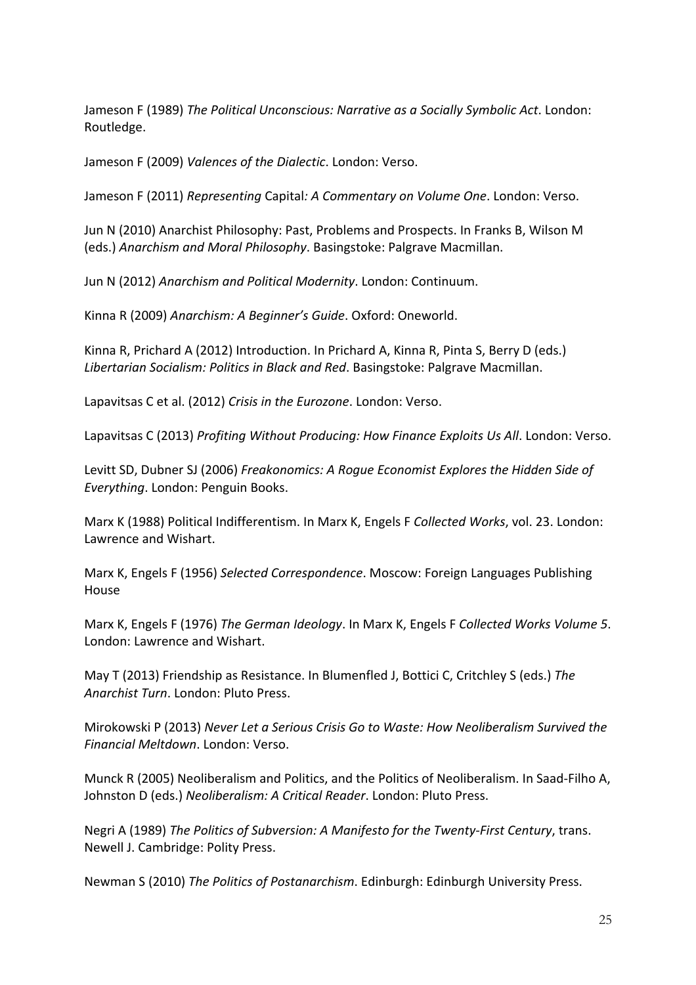Jameson F (1989) The Political Unconscious: Narrative as a Socially Symbolic Act. London: Routledge.

Jameson F (2009) Valences of the Dialectic. London: Verso.

Jameson F (2011) *Representing Capital: A Commentary on Volume One*. London: Verso.

Jun N (2010) Anarchist Philosophy: Past, Problems and Prospects. In Franks B, Wilson M (eds.) Anarchism and Moral Philosophy. Basingstoke: Palgrave Macmillan.

Jun N (2012) *Anarchism and Political Modernity*. London: Continuum.

Kinna R (2009) *Anarchism: A Beginner's Guide*. Oxford: Oneworld.

Kinna R, Prichard A (2012) Introduction. In Prichard A, Kinna R, Pinta S, Berry D (eds.) *Libertarian Socialism: Politics in Black and Red*. Basingstoke: Palgrave Macmillan.

Lapavitsas C et al. (2012) Crisis in the Eurozone. London: Verso.

Lapavitsas C (2013) *Profiting Without Producing: How Finance Exploits Us All.* London: Verso.

Levitt SD, Dubner SJ (2006) *Freakonomics: A Roque Economist Explores the Hidden Side of Everything*. London: Penguin Books.

Marx K (1988) Political Indifferentism. In Marx K, Engels F *Collected Works*, vol. 23. London: Lawrence and Wishart.

Marx K, Engels F (1956) *Selected Correspondence*. Moscow: Foreign Languages Publishing House

Marx K, Engels F (1976) The German Ideology. In Marx K, Engels F Collected Works Volume 5. London: Lawrence and Wishart.

May T (2013) Friendship as Resistance. In Blumenfled J, Bottici C, Critchley S (eds.) The *Anarchist Turn*. London: Pluto Press.

Mirokowski P (2013) Never Let a Serious Crisis Go to Waste: How Neoliberalism Survived the *Financial Meltdown*. London: Verso.

Munck R (2005) Neoliberalism and Politics, and the Politics of Neoliberalism. In Saad-Filho A, Johnston D (eds.) *Neoliberalism: A Critical Reader*. London: Pluto Press.

Negri A (1989) The Politics of Subversion: A Manifesto for the Twenty-First Century, trans. Newell J. Cambridge: Polity Press.

Newman S (2010) *The Politics of Postanarchism*. Edinburgh: Edinburgh University Press.